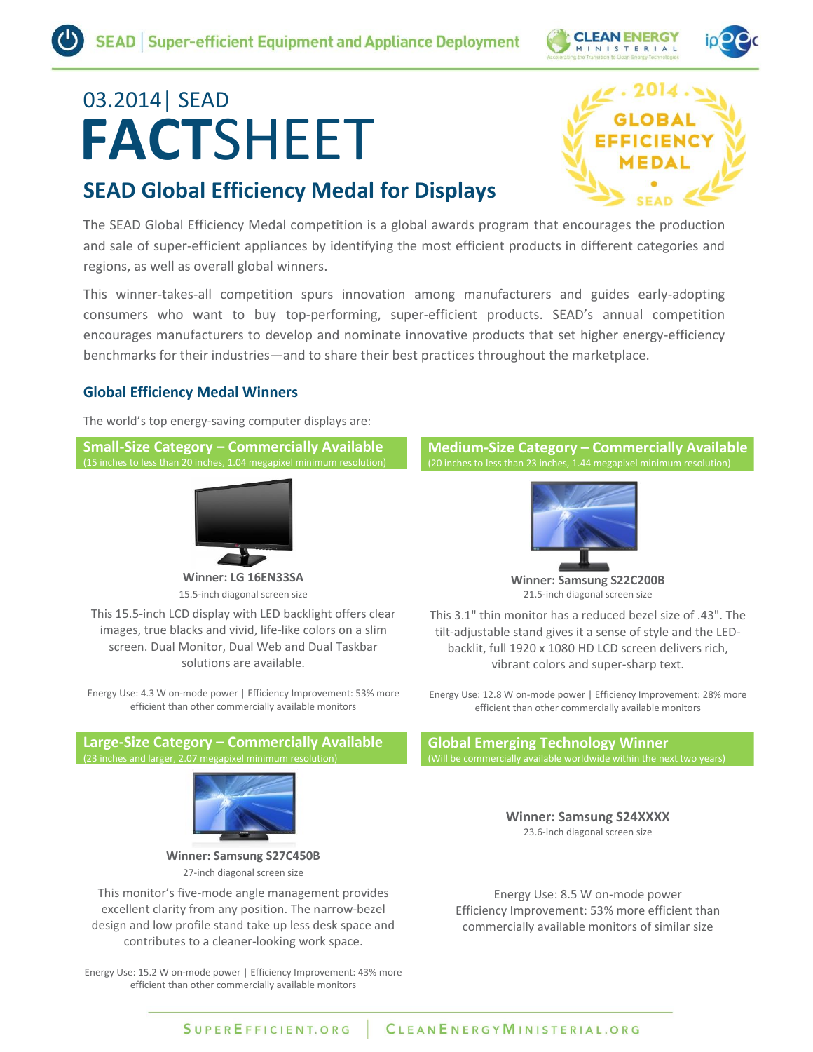

# **FACT**SHEET 03.2014| SEAD

# **SEAD Global Efficiency Medal for Displays**



The SEAD Global Efficiency Medal competition is a global awards program that encourages the production and sale of super-efficient appliances by identifying the most efficient products in different categories and regions, as well as overall global winners.

This winner-takes-all competition spurs innovation among manufacturers and guides early-adopting consumers who want to buy top-performing, super-efficient products. SEAD's annual competition encourages manufacturers to develop and nominate innovative products that set higher energy-efficiency benchmarks for their industries—and to share their best practices throughout the marketplace.

# **Global Efficiency Medal Winners**

The world's top energy-saving computer displays are:

**Small-Size Category – Commercially Available** (15 inches to less than 20 inches, 1.04 megapixel minimum resolution)



**Winner: LG 16EN33SA** 15.5-inch diagonal screen size

This 15.5-inch LCD display with LED backlight offers clear images, true blacks and vivid, life-like colors on a slim screen. Dual Monitor, Dual Web and Dual Taskbar solutions are available.

Energy Use: 4.3 W on-mode power | Efficiency Improvement: 53% more efficient than other commercially available monitors

#### **Large-Size Category – Commercially Available** (23 inches and larger, 2.07 megapixel minimum resolution)



**Winner: Samsung S27C450B** 27-inch diagonal screen size

This monitor's five-mode angle management provides excellent clarity from any position. The narrow-bezel design and low profile stand take up less desk space and contributes to a cleaner-looking work space.

Energy Use: 15.2 W on-mode power | Efficiency Improvement: 43% more efficient than other commercially available monitors

#### **Medium-Size Category – Commercially Available** (20 inches to less than 23 inches, 1.44 megapixel minimum resolution)



**Winner: Samsung S22C200B** 21.5-inch diagonal screen size

This 3.1" thin monitor has a reduced bezel size of .43". The tilt-adjustable stand gives it a sense of style and the LEDbacklit, full 1920 x 1080 HD LCD screen delivers rich, vibrant colors and super-sharp text.

Energy Use: 12.8 W on-mode power | Efficiency Improvement: 28% more efficient than other commercially available monitors

**Global Emerging Technology Winner** (Will be commercially available worldwide within the next two ye

> **Winner: Samsung S24XXXX** 23.6-inch diagonal screen size

Energy Use: 8.5 W on-mode power Efficiency Improvement: 53% more efficient than commercially available monitors of similar size